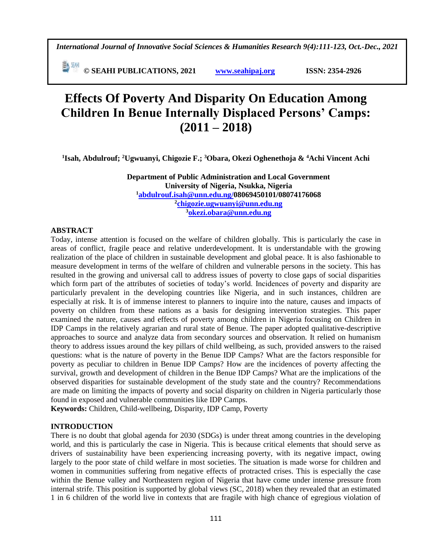**E**<sup>[5]</sup> <sup>534</sup> © SEAHI PUBLICATIONS, 2021 *www.seahipaj.org* **ISSN: 2354-2926** 

# **Effects Of Poverty And Disparity On Education Among Children In Benue Internally Displaced Persons' Camps: (2011 – 2018)**

**1 Isah, Abdulrouf; <sup>2</sup>Ugwuanyi, Chigozie F.; <sup>3</sup>Obara, Okezi Oghenethoja & <sup>4</sup>Achi Vincent Achi**

**Department of Public Administration and Local Government University of Nigeria, Nsukka, Nigeria <sup>1</sup>[abdulrouf.isah@unn.edu.ng/](mailto:abdulrouf.isah@unn.edu.ng)08069450101/08074176068 2 [chigozie.ugwuanyi@unn.edu.ng](mailto:chigozie.ugwuanyi@unn.edu.ng) <sup>3</sup>[okezi.obara@unn.edu.ng](mailto:okezi.obara@unn.edu.ng)**

#### **ABSTRACT**

Today, intense attention is focused on the welfare of children globally. This is particularly the case in areas of conflict, fragile peace and relative underdevelopment. It is understandable with the growing realization of the place of children in sustainable development and global peace. It is also fashionable to measure development in terms of the welfare of children and vulnerable persons in the society. This has resulted in the growing and universal call to address issues of poverty to close gaps of social disparities which form part of the attributes of societies of today's world. Incidences of poverty and disparity are particularly prevalent in the developing countries like Nigeria, and in such instances, children are especially at risk. It is of immense interest to planners to inquire into the nature, causes and impacts of poverty on children from these nations as a basis for designing intervention strategies. This paper examined the nature, causes and effects of poverty among children in Nigeria focusing on Children in IDP Camps in the relatively agrarian and rural state of Benue. The paper adopted qualitative-descriptive approaches to source and analyze data from secondary sources and observation. It relied on humanism theory to address issues around the key pillars of child wellbeing, as such, provided answers to the raised questions: what is the nature of poverty in the Benue IDP Camps? What are the factors responsible for poverty as peculiar to children in Benue IDP Camps? How are the incidences of poverty affecting the survival, growth and development of children in the Benue IDP Camps? What are the implications of the observed disparities for sustainable development of the study state and the country? Recommendations are made on limiting the impacts of poverty and social disparity on children in Nigeria particularly those found in exposed and vulnerable communities like IDP Camps.

**Keywords:** Children, Child-wellbeing, Disparity, IDP Camp, Poverty

## **INTRODUCTION**

There is no doubt that global agenda for 2030 (SDGs) is under threat among countries in the developing world, and this is particularly the case in Nigeria. This is because critical elements that should serve as drivers of sustainability have been experiencing increasing poverty, with its negative impact, owing largely to the poor state of child welfare in most societies. The situation is made worse for children and women in communities suffering from negative effects of protracted crises. This is especially the case within the Benue valley and Northeastern region of Nigeria that have come under intense pressure from internal strife. This position is supported by global views (SC, 2018) when they revealed that an estimated 1 in 6 children of the world live in contexts that are fragile with high chance of egregious violation of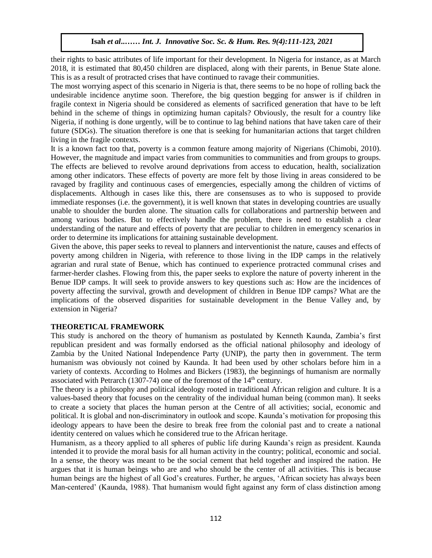their rights to basic attributes of life important for their development. In Nigeria for instance, as at March 2018, it is estimated that 80,450 children are displaced, along with their parents, in Benue State alone. This is as a result of protracted crises that have continued to ravage their communities.

The most worrying aspect of this scenario in Nigeria is that, there seems to be no hope of rolling back the undesirable incidence anytime soon. Therefore, the big question begging for answer is if children in fragile context in Nigeria should be considered as elements of sacrificed generation that have to be left behind in the scheme of things in optimizing human capitals? Obviously, the result for a country like Nigeria, if nothing is done urgently, will be to continue to lag behind nations that have taken care of their future (SDGs). The situation therefore is one that is seeking for humanitarian actions that target children living in the fragile contexts.

It is a known fact too that, poverty is a common feature among majority of Nigerians (Chimobi, 2010). However, the magnitude and impact varies from communities to communities and from groups to groups. The effects are believed to revolve around deprivations from access to education, health, socialization among other indicators. These effects of poverty are more felt by those living in areas considered to be ravaged by fragility and continuous cases of emergencies, especially among the children of victims of displacements. Although in cases like this, there are consensuses as to who is supposed to provide immediate responses (i.e. the government), it is well known that states in developing countries are usually unable to shoulder the burden alone. The situation calls for collaborations and partnership between and among various bodies. But to effectively handle the problem, there is need to establish a clear understanding of the nature and effects of poverty that are peculiar to children in emergency scenarios in order to determine its implications for attaining sustainable development.

Given the above, this paper seeks to reveal to planners and interventionist the nature, causes and effects of poverty among children in Nigeria, with reference to those living in the IDP camps in the relatively agrarian and rural state of Benue, which has continued to experience protracted communal crises and farmer-herder clashes. Flowing from this, the paper seeks to explore the nature of poverty inherent in the Benue IDP camps. It will seek to provide answers to key questions such as: How are the incidences of poverty affecting the survival, growth and development of children in Benue IDP camps? What are the implications of the observed disparities for sustainable development in the Benue Valley and, by extension in Nigeria?

## **THEORETICAL FRAMEWORK**

This study is anchored on the theory of humanism as postulated by Kenneth Kaunda, Zambia's first republican president and was formally endorsed as the official national philosophy and ideology of Zambia by the United National Independence Party (UNIP), the party then in government. The term humanism was obviously not coined by Kaunda. It had been used by other scholars before him in a variety of contexts. According to Holmes and Bickers (1983), the beginnings of humanism are normally associated with Petrarch (1307-74) one of the foremost of the 14<sup>th</sup> century.

The theory is a philosophy and political ideology rooted in traditional African religion and culture. It is a values-based theory that focuses on the centrality of the individual human being (common man). It seeks to create a society that places the human person at the Centre of all activities; social, economic and political. It is global and non-discriminatory in outlook and scope. Kaunda's motivation for proposing this ideology appears to have been the desire to break free from the colonial past and to create a national identity centered on values which he considered true to the African heritage.

Humanism, as a theory applied to all spheres of public life during Kaunda's reign as president. Kaunda intended it to provide the moral basis for all human activity in the country; political, economic and social. In a sense, the theory was meant to be the social cement that held together and inspired the nation. He argues that it is human beings who are and who should be the center of all activities. This is because human beings are the highest of all God's creatures. Further, he argues, 'African society has always been Man-centered' (Kaunda, 1988). That humanism would fight against any form of class distinction among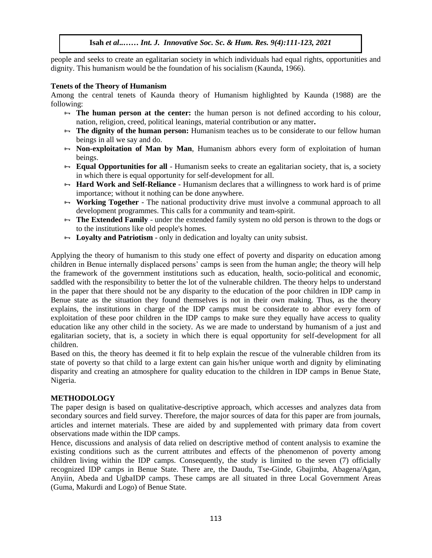people and seeks to create an egalitarian society in which individuals had equal rights, opportunities and dignity. This humanism would be the foundation of his socialism (Kaunda, 1966).

#### **Tenets of the Theory of Humanism**

Among the central tenets of Kaunda theory of Humanism highlighted by Kaunda (1988) are the following:  $Wing:$ 

- **The human person at the center:** the human person is not defined according to his colour, nation, religion, creed, political leanings, material contribution or any matter**.**
- **The dignity of the human person:** Humanism teaches us to be considerate to our fellow human beings in all we say and do. beings in all we say and do.
- **Non-exploitation of Man by Man**, Humanism abhors every form of exploitation of human beings.
- **Equal Opportunities for all** Humanism seeks to create an egalitarian society, that is, a society in which there is equal opportunity for self-development for all.
- $\theta$  **Hard Work and Self-Reliance** Humanism declares that a willingness to work hard is of prime importance; without it nothing can be done anywhere.
- **Working Together** The national productivity drive must involve a communal approach to all development programmes. This calls for a community and team-spirit.
- **The Extended Family** under the extended family system no old person is thrown to the dogs or to the institutions like old people's homes.
- **Loyalty and Patriotism** only in dedication and loyalty can unity subsist.

Applying the theory of humanism to this study one effect of poverty and disparity on education among children in Benue internally displaced persons' camps is seen from the human angle; the theory will help the framework of the government institutions such as education, health, socio-political and economic, saddled with the responsibility to better the lot of the vulnerable children. The theory helps to understand in the paper that there should not be any disparity to the education of the poor children in IDP camp in Benue state as the situation they found themselves is not in their own making. Thus, as the theory explains, the institutions in charge of the IDP camps must be considerate to abhor every form of exploitation of these poor children in the IDP camps to make sure they equally have access to quality education like any other child in the society. As we are made to understand by humanism of a just and egalitarian society, that is, a society in which there is equal opportunity for self-development for all children. Arugu & Wosu …… Int. J. Innovative Soc. Sc. & Hum. Res. 8(1):1-11, 2020

Based on this, the theory has deemed it fit to help explain the rescue of the vulnerable children from its state of poverty so that child to a large extent can gain his/her unique worth and dignity by eliminating disparity and creating an atmosphere for quality education to the children in IDP camps in Benue State, Nigeria.

## **METHODOLOGY**

The paper design is based on qualitative-descriptive approach, which accesses and analyzes data from secondary sources and field survey. Therefore, the major sources of data for this paper are from journals, articles and internet materials. These are aided by and supplemented with primary data from covert observations made within the IDP camps.

Hence, discussions and analysis of data relied on descriptive method of content analysis to examine the existing conditions such as the current attributes and effects of the phenomenon of poverty among children living within the IDP camps. Consequently, the study is limited to the seven (7) officially recognized IDP camps in Benue State. There are, the Daudu, Tse-Ginde, Gbajimba, Abagena/Agan, Anyiin, Abeda and UgbaIDP camps. These camps are all situated in three Local Government Areas (Guma, Makurdi and Logo) of Benue State.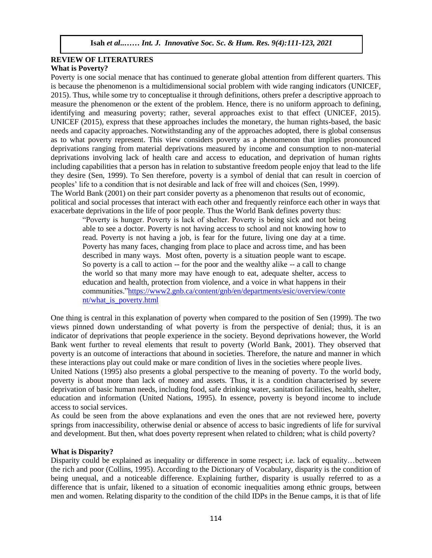#### **REVIEW OF LITERATURES What is Poverty?**

Poverty is one social menace that has continued to generate global attention from different quarters. This is because the phenomenon is a multidimensional social problem with wide ranging indicators (UNICEF, 2015). Thus, while some try to conceptualise it through definitions, others prefer a descriptive approach to measure the phenomenon or the extent of the problem. Hence, there is no uniform approach to defining, identifying and measuring poverty; rather, several approaches exist to that effect (UNICEF, 2015). UNICEF (2015), express that these approaches includes the monetary, the human rights-based, the basic needs and capacity approaches. Notwithstanding any of the approaches adopted, there is global consensus as to what poverty represent. This view considers poverty as a phenomenon that implies pronounced deprivations ranging from material deprivations measured by income and consumption to non-material deprivations involving lack of health care and access to education, and deprivation of human rights including capabilities that a person has in relation to substantive freedom people enjoy that lead to the life they desire (Sen, 1999). To Sen therefore, poverty is a symbol of denial that can result in coercion of peoples' life to a condition that is not desirable and lack of free will and choices (Sen, 1999). The World Bank (2001) on their part consider poverty as a phenomenon that results out of economic, political and social processes that interact with each other and frequently reinforce each other in ways that exacerbate deprivations in the life of poor people. Thus the World Bank defines poverty thus: Arugu & Wosu …… Int. J. Innovative Soc. Sc. & Hum. Res. 8(1):1-11, 2020

"Poverty is hunger. Poverty is lack of shelter. Poverty is being sick and not being able to see a doctor. Poverty is not having access to school and not knowing how to read. Poverty is not having a job, is fear for the future, living one day at a time. Poverty has many faces, changing from place to place and across time, and has been described in many ways. Most often, poverty is a situation people want to escape. So poverty is a call to action -- for the poor and the wealthy alike -- a call to change the world so that many more may have enough to eat, adequate shelter, access to education and health, protection from violence, and a voice in what happens in their education and health, protection from violence, and a voice in what happens in their<br>communities.["https://www2.gnb.ca/content/gnb/en/departments/esic/overview/conte](https://www2.gnb.ca/content/gnb/en/departments/esic/overview/content/what_is_poverty.html) [nt/what\\_is\\_poverty.html](https://www2.gnb.ca/content/gnb/en/departments/esic/overview/content/what_is_poverty.html)

One thing is central in this explanation of poverty when compared to the position of Sen (1999). The two views pinned down understanding of what poverty is from the perspective of denial; thus, it is an indicator of deprivations that people experience in the society. Beyond deprivations however, the World Bank went further to reveal elements that result to poverty (World Bank, 2001). They observed that poverty is an outcome of interactions that abound in societies. Therefore, the nature and manner in which these interactions play out could make or mare condition of lives in the societies where people lives.

United Nations (1995) also presents a global perspective to the meaning of poverty. To the world body, poverty is about more than lack of money and assets. Thus, it is a condition characterised by severe deprivation of basic human needs, including food, safe drinking water, sanitation facilities, health, shelter, education and information (United Nations, 1995). In essence, poverty is beyond income to include access to social services.

As could be seen from the above explanations and even the ones that are not reviewed here, poverty springs from inaccessibility, otherwise denial or absence of access to basic ingredients of life for survival and development. But then, what does poverty represent when related to children; what is child poverty?

## **What is Disparity?**

Disparity could be explained as inequality or difference in some respect; i.e. lack of equality…between the rich and poor (Collins, 1995). According to the Dictionary of Vocabulary, disparity is the condition of being unequal, and a noticeable difference. Explaining further, disparity is usually referred to as a difference that is unfair, likened to a situation of economic inequalities among ethnic groups, between men and women. Relating disparity to the condition of the child IDPs in the Benue camps, it is that of life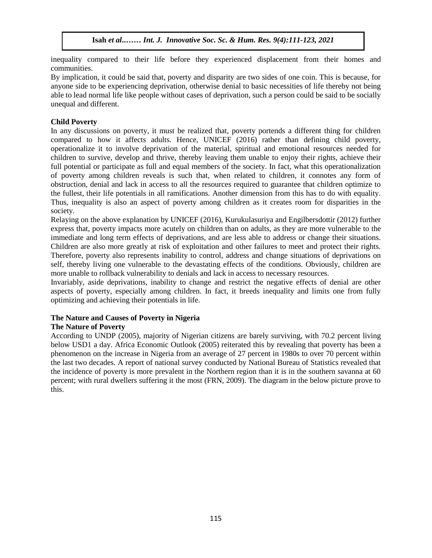inequality compared to their life before they experienced displacement from their homes and communities. arunities.

By implication, it could be said that, poverty and disparity are two sides of one coin. This is because, for anyone side to be experiencing deprivation, otherwise denial to basic necessities of life thereby not being able to lead normal life like people without cases of deprivation, such a person could be said to be socially unequal and different.

# **Child Poverty**

In any discussions on poverty, it must be realized that, poverty portends a different thing for children compared to how it affects adults. Hence, UNICEF (2016) rather than defining child poverty, operationalize it to involve deprivation of the material, spiritual and emotional resources needed for children to survive, develop and thrive, thereby leaving them unable to enjoy their rights, achieve their full potential or participate as full and equal members of the society. In fact, what this operationalization of poverty among children reveals is such that, when related to children, it connotes any form of obstruction, denial and lack in access to all the resources required to guarantee that children optimize to the fullest, their life potentials in all ramifications. Another dimension from this has to do with equality. Thus, inequality is also an aspect of poverty among children as it creates room for disparities in the society.  $\mathbf{y}$ .

Relaying on the above explanation by UNICEF (2016), Kurukulasuriya and Engilbersdottir (2012) further express that, poverty impacts more acutely on children than on adults, as they are more vulnerable to the immediate and long term effects of deprivations, and are less able to address or change their situations. Children are also more greatly at risk of exploitation and other failures to meet and protect their rights. Therefore, poverty also represents inability to control, address and change situations of deprivations on self, thereby living one vulnerable to the devastating effects of the conditions. Obviously, children are more unable to rollback vulnerability to denials and lack in access to necessary resources.

Invariably, aside deprivations, inability to change and restrict the negative effects of denial are other aspects of poverty, especially among children. In fact, it breeds inequality and limits one from fully optimizing and achieving their potentials in life.

# **The Nature and Causes of Poverty in Nigeria**

## **The Nature of Poverty**

According to UNDP (2005), majority of Nigerian citizens are barely surviving, with 70.2 percent living below USD1 a day. Africa Economic Outlook (2005) reiterated this by revealing that poverty has been a phenomenon on the increase in Nigeria from an average of 27 percent in 1980s to over 70 percent within the last two decades. A report of national survey conducted by National Bureau of Statistics revealed that the incidence of poverty is more prevalent in the Northern region than it is in the southern savanna at 60 percent; with rural dwellers suffering it the most (FRN, 2009). The diagram in the below picture prove to this.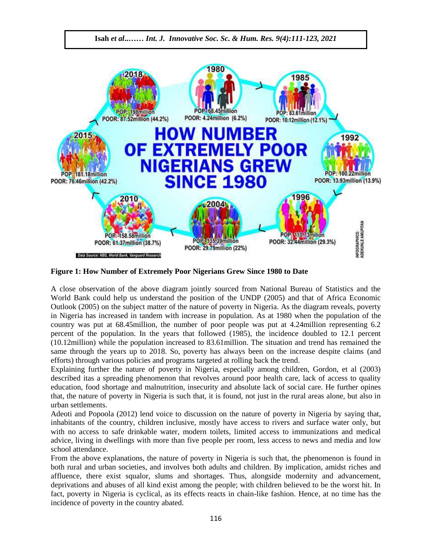

**Figure 1: How Number of Extremely Poor Nigerians Grew Since 1980 to Date**

A close observation of the above diagram jointly sourced from National Bureau of Statistics and the World Bank could help us understand the position of the UNDP (2005) and that of Africa Economic Outlook (2005) on the subject matter of the nature of poverty in Nigeria. As the diagram reveals, poverty in Nigeria has increased in tandem with increase in population. As at 1980 when the population of the country was put at 68.45million, the number of poor people was put at 4.24million representing 6.2 percent of the population. In the years that followed (1985), the incidence doubled to 12.1 percent (10.12million) while the population increased to 83.61million. The situation and trend has remained the same through the years up to 2018. So, poverty has always been on the increase despite claims (and efforts) through various policies and programs targeted at rolling back the trend.

Explaining further the nature of poverty in Nigeria, especially among children, Gordon, et al (2003) described itas a spreading phenomenon that revolves around poor health care, lack of access to quality education, food shortage and malnutrition, insecurity and absolute lack of social care. He further opines that, the nature of poverty in Nigeria is such that, it is found, not just in the rural areas alone, but also in urban settlements.

Adeoti and Popoola (2012) lend voice to discussion on the nature of poverty in Nigeria by saying that, inhabitants of the country, children inclusive, mostly have access to rivers and surface water only, but with no access to safe drinkable water, modern toilets, limited access to immunizations and medical advice, living in dwellings with more than five people per room, less access to news and media and low school attendance.

From the above explanations, the nature of poverty in Nigeria is such that, the phenomenon is found in both rural and urban societies, and involves both adults and children. By implication, amidst riches and affluence, there exist squalor, slums and shortages. Thus, alongside modernity and advancement, deprivations and abuses of all kind exist among the people; with children believed to be the worst hit. In fact, poverty in Nigeria is cyclical, as its effects reacts in chain-like fashion. Hence, at no time has the incidence of poverty in the country abated.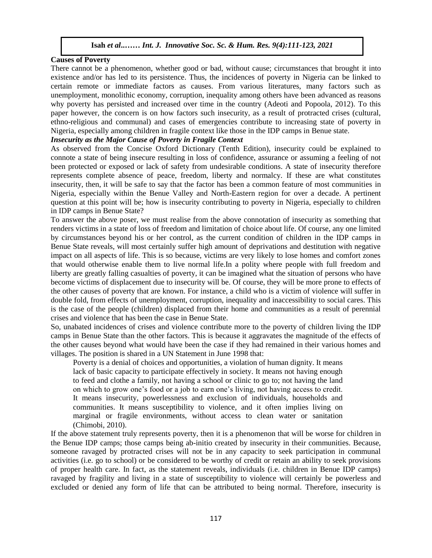# **Causes of Poverty**

There cannot be a phenomenon, whether good or bad, without cause; circumstances that brought it into rifere cannot be a phenomenon, whener good or bad, wholet cause, encurristances that brought it more existence and/or has led to its persistence. Thus, the incidences of poverty in Nigeria can be linked to certain remote or immediate factors as causes. From various literatures, many factors such as unemployment, monolithic economy, corruption, inequality among others have been advanced as reasons why poverty has persisted and increased over time in the country (Adeoti and Popoola, 2012). To this why poverty has persisted and increased over time in the country (Adeoti and Topoola, 2012). To this paper however, the concern is on how factors such insecurity, as a result of protracted crises (cultural, ethno-religious and communal) and cases of emergencies contribute to increasing state of poverty in Nigeria, especially among children in fragile context like those in the IDP camps in Benue state.

# *Insecurity as the Major Cause of Poverty in Fragile Context*

*As observed from the Concise Of Toverly in Frigue Context*<br>As observed from the Concise Oxford Dictionary (Tenth Edition), insecurity could be explained to connote a state of being insecure resulting in loss of confidence, assurance or assuming a feeling of not been protected or exposed or lack of safety from undesirable conditions. A state of insecurity therefore represents complete absence of peace, freedom, liberty and normalcy. If these are what constitutes insecurity, then, it will be safe to say that the factor has been a common feature of most communities in insecurity, then, it will be safe to say that the factor has been a common feature of most communities in Nigeria, especially within the Benue Valley and North-Eastern region for over a decade. A pertinent question at this point will be; how is insecurity contributing to poverty in Nigeria, especially to children in IDP camps in Benue State?

In 121 camps in Bende state.<br>To answer the above poser, we must realise from the above connotation of insecurity as something that renders victims in a state of loss of freedom and limitation of choice about life. Of course, any one limited by circumstances beyond his or her control, as the current condition of children in the IDP camps in Benue State reveals, will most certainly suffer high amount of deprivations and destitution with negative impact on all aspects of life. This is so because, victims are very likely to lose homes and comfort zones that would otherwise enable them to live normal life.In a polity where people with full freedom and liberty are greatly falling casualties of poverty, it can be imagined what the situation of persons who have become victims of displacement due to insecurity will be. Of course, they will be more prone to effects of the other causes of poverty that are known. For instance, a child who is a victim of violence will suffer in double fold, from effects of unemployment, corruption, inequality and inaccessibility to social cares. This is the case of the people (children) displaced from their home and communities as a result of perennial crises and violence that has been the case in Benue State.

So, unabated incidences of crises and violence contribute more to the poverty of children living the IDP camps in Benue State than the other factors. This is because it aggravates the magnitude of the effects of the other causes beyond what would have been the case if they had remained in their various homes and villages. The position is shared in a UN Statement in June 1998 that:

Poverty is a denial of choices and opportunities, a violation of human dignity. It means lack of basic capacity to participate effectively in society. It means not having enough to feed and clothe a family, not having a school or clinic to go to; not having the land on which to grow one's food or a job to earn one's living, not having access to credit. It means insecurity, powerlessness and exclusion of individuals, households and communities. It means susceptibility to violence, and it often implies living on marginal or fragile environments, without access to clean water or sanitation (Chimobi, 2010).

If the above statement truly represents poverty, then it is a phenomenon that will be worse for children in the Benue IDP camps; those camps being ab-initio created by insecurity in their communities. Because, someone ravaged by protracted crises will not be in any capacity to seek participation in communal activities (i.e. go to school) or be considered to be worthy of credit or retain an ability to seek provisions of proper health care. In fact, as the statement reveals, individuals (i.e. children in Benue IDP camps) ravaged by fragility and living in a state of susceptibility to violence will certainly be powerless and excluded or denied any form of life that can be attributed to being normal. Therefore, insecurity is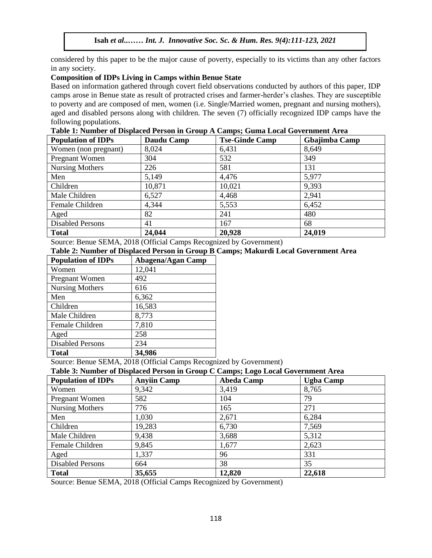considered by this paper to be the major cause of poverty, especially to its victims than any other factors in any society.

#### **Composition of IDPs Living in Camps within Benue State**

Based on information gathered through covert field observations conducted by authors of this paper, IDP camps arose in Benue state as result of protracted crises and farmer-herder's clashes. They are susceptible to poverty and are composed of men, women (i.e. Single/Married women, pregnant and nursing mothers), aged and disabled persons along with children. The seven (7) officially recognized IDP camps have the following populations.

**Table 1: Number of Displaced Person in Group A Camps; Guma Local Government Area**

| <b>Population of IDPs</b> | Daudu Camp                                                 | <b>Tse-Ginde Camp</b> | Gbajimba Camp |
|---------------------------|------------------------------------------------------------|-----------------------|---------------|
| Women (non pregnant)      | 8,024                                                      | 6,431                 | 8,649         |
| Pregnant Women            | 304                                                        | 532                   | 349           |
| Nursing Mothers           | 226                                                        | 581                   | 131           |
| Men                       | 5,149                                                      | 4,476                 | 5,977         |
| Children                  | 10,871                                                     | 10,021                | 9,393         |
| Male Children             | 6,527                                                      | 4,468                 | 2,941         |
| Female Children           | 4,344                                                      | 5,553                 | 6,452         |
| Aged                      | 82                                                         | 241                   | 480           |
| <b>Disabled Persons</b>   | 41                                                         | 167                   | 68            |
| <b>Total</b><br>$\sim$    | 24,044<br>$\sim$ $\sim$ $\sim$ $\sim$ $\sim$ $\sim$ $\sim$ | 20,928<br>.           | 24,019        |

Source: Benue SEMA, 2018 (Official Camps Recognized by Government)

# **Table 2: Number of Displaced Person in Group B Camps; Makurdi Local Government Area**

| <b>Population of IDPs</b> | Abagena/Agan Camp |
|---------------------------|-------------------|
| Women                     | 12,041            |
| Pregnant Women            | 492               |
| <b>Nursing Mothers</b>    | 616               |
| Men                       | 6,362             |
| Children                  | 16,583            |
| Male Children             | 8,773             |
| Female Children           | 7,810             |
| Aged                      | 258               |
| <b>Disabled Persons</b>   | 234               |
| <b>Total</b>              | 34,986            |

Source: Benue SEMA, 2018 (Official Camps Recognized by Government)

| Table 3: Number of Displaced Person in Group C Camps; Logo Local Government Area |  |  |  |  |  |  |  |  |  |  |
|----------------------------------------------------------------------------------|--|--|--|--|--|--|--|--|--|--|
|----------------------------------------------------------------------------------|--|--|--|--|--|--|--|--|--|--|

| <b>Population of IDPs</b> | <b>Anyiin Camp</b> | <b>Abeda Camp</b> | <b>Ugba Camp</b> |
|---------------------------|--------------------|-------------------|------------------|
| Women                     | 9,342              | 3,419             | 8,765            |
| Pregnant Women            | 582                | 104               | 79               |
| Nursing Mothers           | 776                | 165               | 271              |
| Men                       | 1,030              | 2,671             | 6,284            |
| Children                  | 19,283             | 6,730             | 7,569            |
| Male Children             | 9,438              | 3,688             | 5,312            |
| Female Children           | 9,845              | 1,677             | 2,623            |
| Aged                      | 1,337              | 96                | 331              |
| <b>Disabled Persons</b>   | 664                | 38                | 35               |
| <b>Total</b>              | 35,655             | 12,820            | 22,618           |

Source: Benue SEMA, 2018 (Official Camps Recognized by Government)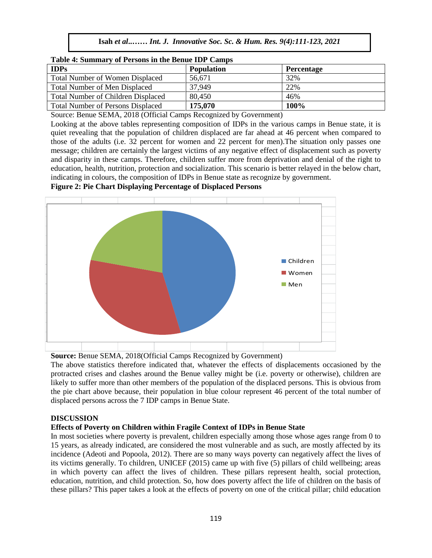| Isah et al Int. J. Innovative Soc. Sc. & Hum. Res. 9(4):111-123, 2021 |  |  |  |  |
|-----------------------------------------------------------------------|--|--|--|--|
|                                                                       |  |  |  |  |

| Table 4: Summary of Persons in the Benue LDP Camps |                   |                   |
|----------------------------------------------------|-------------------|-------------------|
| <b>IDPs</b>                                        | <b>Population</b> | <b>Percentage</b> |
| <b>Total Number of Women Displaced</b>             | 56.671            | 32%               |
| <b>Total Number of Men Displaced</b>               | 37.949            | 22%               |
| <b>Total Number of Children Displaced</b>          | 80.450            | 46%               |
| <b>Total Number of Persons Displaced</b>           | 175,070           | 100%              |

| Table 4: Summary of Persons in the Benue IDP Camps |
|----------------------------------------------------|
|----------------------------------------------------|

Source: Benue SEMA, 2018 (Official Camps Recognized by Government)

Looking at the above tables representing composition of IDPs in the various camps in Benue state, it is quiet revealing that the population of children displaced are far ahead at 46 percent when compared to those of the adults (i.e. 32 percent for women and 22 percent for men). The situation only passes one message; children are certainly the largest victims of any negative effect of displacement such as poverty and disparity in these camps. Therefore, children suffer more from deprivation and denial of the right to education, health, nutrition, protection and socialization. This scenario is better relayed in the below chart, indicating in colours, the composition of IDPs in Benue state as recognize by government.

**Figure 2: Pie Chart Displaying Percentage of Displaced Persons**



**Source:** Benue SEMA, 2018(Official Camps Recognized by Government)

The above statistics therefore indicated that, whatever the effects of displacements occasioned by the protracted crises and clashes around the Benue valley might be (i.e. poverty or otherwise), children are likely to suffer more than other members of the population of the displaced persons. This is obvious from the pie chart above because, their population in blue colour represent 46 percent of the total number of displaced persons across the 7 IDP camps in Benue State.

## **DISCUSSION**

# **Effects of Poverty on Children within Fragile Context of IDPs in Benue State**

In most societies where poverty is prevalent, children especially among those whose ages range from 0 to 15 years, as already indicated, are considered the most vulnerable and as such, are mostly affected by its incidence (Adeoti and Popoola, 2012). There are so many ways poverty can negatively affect the lives of its victims generally. To children, UNICEF (2015) came up with five (5) pillars of child wellbeing; areas in which poverty can affect the lives of children. These pillars represent health, social protection, education, nutrition, and child protection. So, how does poverty affect the life of children on the basis of these pillars? This paper takes a look at the effects of poverty on one of the critical pillar; child education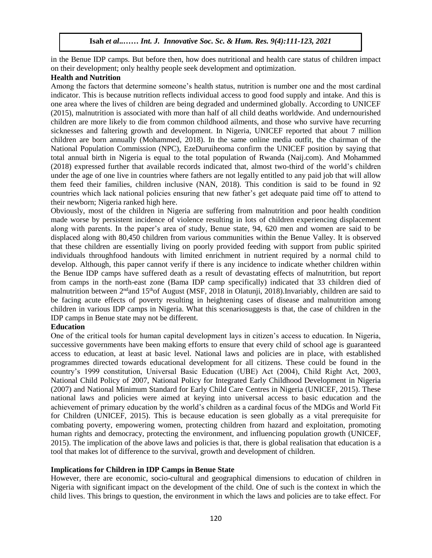in the Benue IDP camps. But before then, how does nutritional and health care status of children impact on their development; only healthy people seek development and optimization.

# **Health and Nutrition**

Among the factors that determine someone's health status, nutrition is number one and the most cardinal indicator. This is because nutrition reflects individual access to good food supply and intake. And this is one area where the lives of children are being degraded and undermined globally. According to UNICEF (2015), malnutrition is associated with more than half of all child deaths worldwide. And undernourished children are more likely to die from common childhood ailments, and those who survive have recurring sicknesses and faltering growth and development. In Nigeria, UNICEF reported that about 7 million children are born annually (Mohammed, 2018). In the same online media outfit, the chairman of the National Population Commission (NPC), EzeDuruiheoma confirm the UNICEF position by saying that total annual birth in Nigeria is equal to the total population of Rwanda (Naij.com). And Mohammed (2018) expressed further that available records indicated that, almost two-third of the world's children under the age of one live in countries where fathers are not legally entitled to any paid job that will allow them feed their families, children inclusive (NAN, 2018). This condition is said to be found in 92 countries which lack national policies ensuring that new father's get adequate paid time off to attend to their newborn; Nigeria ranked high here.

Obviously, most of the children in Nigeria are suffering from malnutrition and poor health condition made worse by persistent incidence of violence resulting in lots of children experiencing displacement along with parents. In the paper's area of study, Benue state, 94, 620 men and women are said to be displaced along with 80,450 children from various communities within the Benue Valley. It is observed that these children are essentially living on poorly provided feeding with support from public spirited individuals throughfood handouts with limited enrichment in nutrient required by a normal child to develop. Although, this paper cannot verify if there is any incidence to indicate whether children within the Benue IDP camps have suffered death as a result of devastating effects of malnutrition, but report from camps in the north-east zone (Bama IDP camp specifically) indicated that 33 children died of malnutrition between 2<sup>nd</sup>and 15<sup>th</sup>of August (MSF, 2018 in Olatunji, 2018).Invariably, children are said to be facing acute effects of poverty resulting in heightening cases of disease and malnutrition among children in various IDP camps in Nigeria. What this scenariosuggests is that, the case of children in the IDP camps in Benue state may not be different.

## **Education**

One of the critical tools for human capital development lays in citizen's access to education. In Nigeria, successive governments have been making efforts to ensure that every child of school age is guaranteed access to education, at least at basic level. National laws and policies are in place, with established programmes directed towards educational development for all citizens. These could be found in the country's 1999 constitution, Universal Basic Education (UBE) Act (2004), Child Right Act, 2003, National Child Policy of 2007, National Policy for Integrated Early Childhood Development in Nigeria (2007) and National Minimum Standard for Early Child Care Centres in Nigeria (UNICEF, 2015). These national laws and policies were aimed at keying into universal access to basic education and the achievement of primary education by the world's children as a cardinal focus of the MDGs and World Fit for Children (UNICEF, 2015). This is because education is seen globally as a vital prerequisite for combating poverty, empowering women, protecting children from hazard and exploitation, promoting human rights and democracy, protecting the environment, and influencing population growth (UNICEF, 2015). The implication of the above laws and policies is that, there is global realisation that education is a tool that makes lot of difference to the survival, growth and development of children.

## **Implications for Children in IDP Camps in Benue State**

However, there are economic, socio-cultural and geographical dimensions to education of children in Nigeria with significant impact on the development of the child. One of such is the context in which the child lives. This brings to question, the environment in which the laws and policies are to take effect. For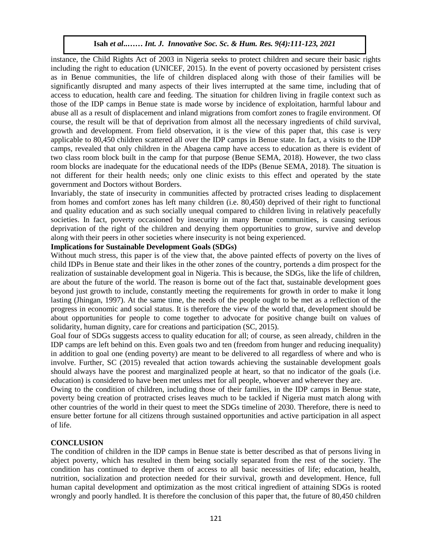instance, the Child Rights Act of 2003 in Nigeria seeks to protect children and secure their basic rights including the right to education (UNICEF, 2015). In the event of poverty occasioned by persistent crises as in Benue communities, the life of children displaced along with those of their families will be significantly disrupted and many aspects of their lives interrupted at the same time, including that of access to education, health care and feeding. The situation for children living in fragile context such as those of the IDP camps in Benue state is made worse by incidence of exploitation, harmful labour and abuse all as a result of displacement and inland migrations from comfort zones to fragile environment. Of course, the result will be that of deprivation from almost all the necessary ingredients of child survival, growth and development. From field observation, it is the view of this paper that, this case is very applicable to 80,450 children scattered all over the IDP camps in Benue state. In fact, a visits to the IDP camps, revealed that only children in the Abagena camp have access to education as there is evident of two class room block built in the camp for that purpose (Benue SEMA, 2018). However, the two class room blocks are inadequate for the educational needs of the IDPs (Benue SEMA, 2018). The situation is not different for their health needs; only one clinic exists to this effect and operated by the state government and Doctors without Borders.

Invariably, the state of insecurity in communities affected by protracted crises leading to displacement from homes and comfort zones has left many children (i.e. 80,450) deprived of their right to functional and quality education and as such socially unequal compared to children living in relatively peacefully societies. In fact, poverty occasioned by insecurity in many Benue communities, is causing serious deprivation of the right of the children and denying them opportunities to grow, survive and develop along with their peers in other societies where insecurity is not being experienced.

#### **Implications for Sustainable Development Goals (SDGs)**

Impications for sustainable Development Goals (SDGs)<br>Without much stress, this paper is of the view that, the above painted effects of poverty on the lives of child IDPs in Benue state and their likes in the other zones of the country, portends a dim prospect for the realization of sustainable development goal in Nigeria. This is because, the SDGs, like the life of children, are about the future of the world. The reason is borne out of the fact that, sustainable development goes are about the ruture of the world. The reason is borne out of the ract that, sustainable development goes<br>beyond just growth to include, constantly meeting the requirements for growth in order to make it long lasting (Jhingan, 1997). At the same time, the needs of the people ought to be met as a reflection of the progress in economic and social status. It is therefore the view of the world that, development should be about opportunities for people to come together to advocate for positive change built on values of solidarity, human dignity, care for creations and participation (SC, 2015).

Goal four of SDGs suggests access to quality education for all; of course, as seen already, children in the IDP camps are left behind on this. Even goals two and ten (freedom from hunger and reducing inequality) in addition to goal one (ending poverty) are meant to be delivered to all regardless of where and who is involve. Further, SC (2015) revealed that action towards achieving the sustainable development goals should always have the poorest and marginalized people at heart, so that no indicator of the goals (i.e. education) is considered to have been met unless met for all people, whoever and wherever they are.

Owing to the condition of children, including those of their families, in the IDP camps in Benue state, poverty being creation of protracted crises leaves much to be tackled if Nigeria must match along with other countries of the world in their quest to meet the SDGs timeline of 2030. Therefore, there is need to ensure better fortune for all citizens through sustained opportunities and active participation in all aspect of life.

#### **CONCLUSION**

The condition of children in the IDP camps in Benue state is better described as that of persons living in abject poverty, which has resulted in them being socially separated from the rest of the society. The condition has continued to deprive them of access to all basic necessities of life; education, health, nutrition, socialization and protection needed for their survival, growth and development. Hence, full human capital development and optimization as the most critical ingredient of attaining SDGs is rooted wrongly and poorly handled. It is therefore the conclusion of this paper that, the future of 80,450 children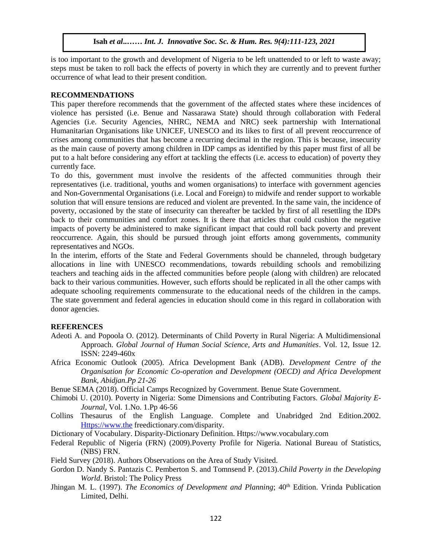is too important to the growth and development of Nigeria to be left unattended to or left to waste away; steps must be taken to roll back the effects of poverty in which they are currently and to prevent further occurrence of what lead to their present condition.

#### **RECOMMENDATIONS**

This paper therefore recommends that the government of the affected states where these incidences of violence has persisted (i.e. Benue and Nassarawa State) should through collaboration with Federal Agencies (i.e. Security Agencies, NHRC, NEMA and NRC) seek partnership with International Humanitarian Organisations like UNICEF, UNESCO and its likes to first of all prevent reoccurrence of crises among communities that has become a recurring decimal in the region. This is because, insecurity as the main cause of poverty among children in IDP camps as identified by this paper must first of all be put to a halt before considering any effort at tackling the effects (i.e. access to education) of poverty they currently face.

To do this, government must involve the residents of the affected communities through their representatives (i.e. traditional, youths and women organisations) to interface with government agencies and Non-Governmental Organisations (i.e. Local and Foreign) to midwife and render support to workable solution that will ensure tensions are reduced and violent are prevented. In the same vain, the incidence of poverty, occasioned by the state of insecurity can thereafter be tackled by first of all resettling the IDPs back to their communities and comfort zones. It is there that articles that could cushion the negative impacts of poverty be administered to make significant impact that could roll back poverty and prevent reoccurrence. Again, this should be pursued through joint efforts among governments, community representatives and NGOs.

In the interim, efforts of the State and Federal Governments should be channeled, through budgetary allocations in line with UNESCO recommendations, towards rebuilding schools and remobilizing teachers and teaching aids in the affected communities before people (along with children) are relocated back to their various communities. However, such efforts should be replicated in all the other camps with adequate schooling requirements commensurate to the educational needs of the children in the camps. The state government and federal agencies in education should come in this regard in collaboration with donor agencies.

## **REFERENCES**

- Adeoti A. and Popoola O. (2012). Determinants of Child Poverty in Rural Nigeria: A Multidimensional Approach. *Global Journal of Human Social Science, Arts and Humanities*. Vol. 12, Issue 12. ISSN: 2249-460x
- Africa Economic Outlook (2005). Africa Development Bank (ADB). *Development Centre of the Organisation for Economic Co-operation and Development (OECD) and Africa Development Bank, Abidjan.Pp 21-26*
- Benue SEMA (2018). Official Camps Recognized by Government. Benue State Government.
- Chimobi U. (2010). Poverty in Nigeria: Some Dimensions and Contributing Factors. *Global Majority E-Journal*, Vol. 1.No. 1.Pp 46-56
- Collins Thesaurus of the English Language. Complete and Unabridged 2nd Edition.2002. [Https://www.the](https://www.the/) freedictionary.com/disparity.
- Dictionary of Vocabulary. Disparity-Dictionary Definition. Https://www.vocabulary.com
- Federal Republic of Nigeria (FRN) (2009).Poverty Profile for Nigeria. National Bureau of Statistics, (NBS) FRN.
- Field Survey (2018). Authors Observations on the Area of Study Visited.
- Gordon D. Nandy S. Pantazis C. Pemberton S. and Tomnsend P. (2013).*Child Poverty in the Developing World*. Bristol: The Policy Press
- Jhingan M. L. (1997). *The Economics of Development and Planning*; 40<sup>th</sup> Edition. Vrinda Publication Limited, Delhi.